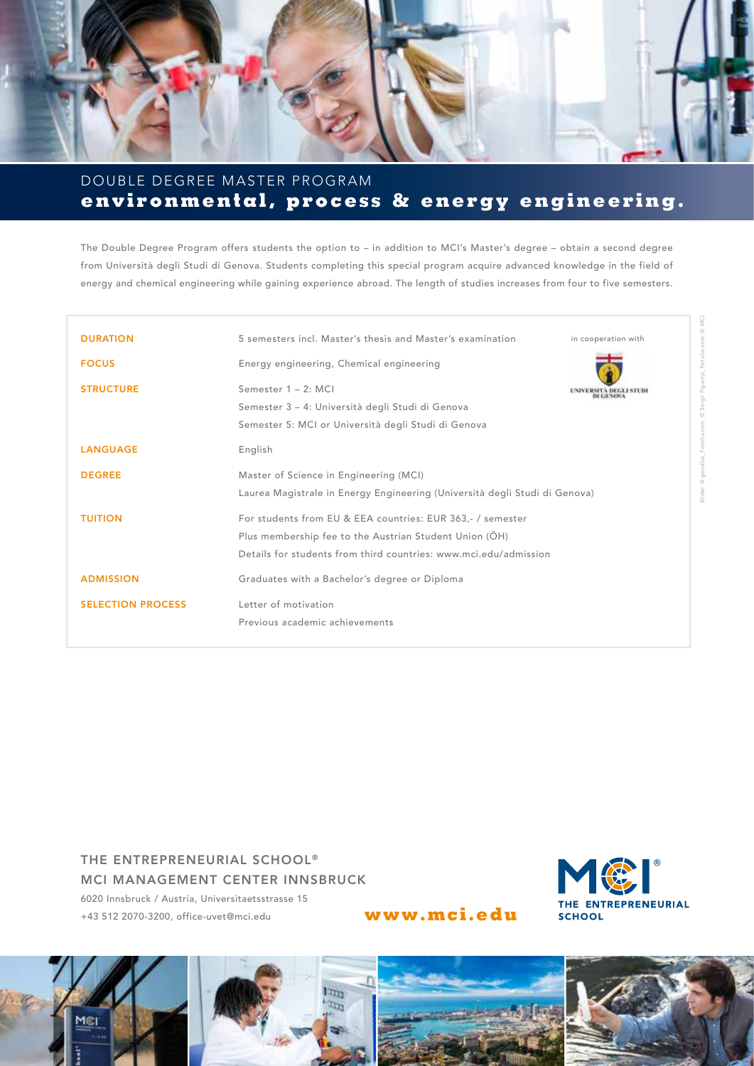

## **environmental, process & energy engineering.** DOUBLE DEGREE MASTER PROGRAM

The Double Degree Program offers students the option to – in addition to MCI's Master's degree – obtain a second degree from Università degli Studi di Genova. Students completing this special program acquire advanced knowledge in the field of energy and chemical engineering while gaining experience abroad. The length of studies increases from four to five semesters.

| <b>DURATION</b>          | 5 semesters incl. Master's thesis and Master's examination                 | in cooperation with    |
|--------------------------|----------------------------------------------------------------------------|------------------------|
| <b>FOCUS</b>             | Energy engineering, Chemical engineering                                   |                        |
| <b>STRUCTURE</b>         | Semester $1 - 2$ : MCI                                                     | UNIVERSITA DEGLI STUDI |
|                          | Semester 3 - 4: Università degli Studi di Genova                           |                        |
|                          | Semester 5: MCI or Università degli Studi di Genova                        |                        |
| <b>LANGUAGE</b>          | English                                                                    |                        |
| <b>DEGREE</b>            | Master of Science in Engineering (MCI)                                     |                        |
|                          | Laurea Magistrale in Energy Engineering (Università degli Studi di Genova) |                        |
| <b>TUITION</b>           | For students from EU & EEA countries: EUR 363,- / semester                 |                        |
|                          | Plus membership fee to the Austrian Student Union (ÖH)                     |                        |
|                          | Details for students from third countries: www.mci.edu/admission           |                        |
| <b>ADMISSION</b>         | Graduates with a Bachelor's degree or Diploma                              |                        |
| <b>SELECTION PROCESS</b> | Letter of motivation                                                       |                        |
|                          | Previous academic achievements                                             |                        |

THE ENTREPRENEURIAL SCHOOL® MCI MANAGEMENT CENTER INNSBRUCK 6020 Innsbruck / Austria, Universitaetsstrasse 15 +43 512 2070-3200, office-uvet@mci.edu **www.mci.edu**



## Imp  $\tau_{\rm 1D}$